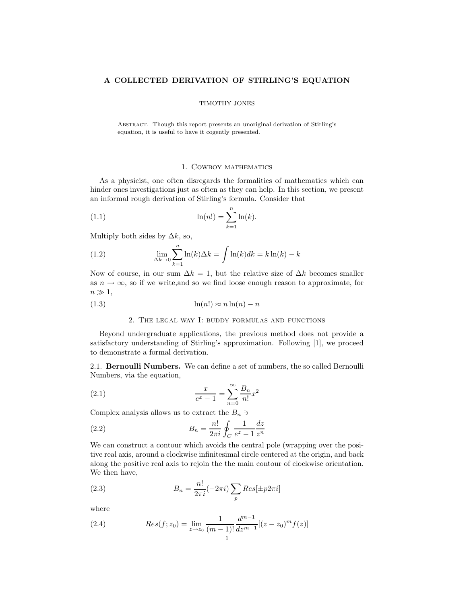### A COLLECTED DERIVATION OF STIRLING'S EQUATION

#### TIMOTHY JONES

Abstract. Though this report presents an unoriginal derivation of Stirling's equation, it is useful to have it cogently presented.

## 1. Cowboy mathematics

As a physicist, one often disregards the formalities of mathematics which can hinder ones investigations just as often as they can help. In this section, we present an informal rough derivation of Stirling's formula. Consider that

(1.1) 
$$
\ln(n!) = \sum_{k=1}^{n} \ln(k).
$$

Multiply both sides by  $\Delta k$ , so,

(1.2) 
$$
\lim_{\Delta k \to 0} \sum_{k=1}^{n} \ln(k) \Delta k = \int \ln(k) dk = k \ln(k) - k
$$

Now of course, in our sum  $\Delta k = 1$ , but the relative size of  $\Delta k$  becomes smaller as  $n \to \infty$ , so if we write, and so we find loose enough reason to approximate, for  $n \gg 1$ ,

(1.3) ln(n!) ≈ n ln(n) − n

### 2. The legal way I: buddy formulas and functions

Beyond undergraduate applications, the previous method does not provide a satisfactory understanding of Stirling's approximation. Following [1], we proceed to demonstrate a formal derivation.

2.1. Bernoulli Numbers. We can define a set of numbers, the so called Bernoulli Numbers, via the equation,

(2.1) 
$$
\frac{x}{e^x - 1} = \sum_{n=0}^{\infty} \frac{B_n}{n!} x^2
$$

Complex analysis allows us to extract the  $B_n \ni$ 

(2.2) 
$$
B_n = \frac{n!}{2\pi i} \oint_C \frac{1}{e^z - 1} \frac{dz}{z^n}
$$

We can construct a contour which avoids the central pole (wrapping over the positive real axis, around a clockwise infinitesimal circle centered at the origin, and back along the positive real axis to rejoin the the main contour of clockwise orientation. We then have,

(2.3) 
$$
B_n = \frac{n!}{2\pi i} (-2\pi i) \sum_p Res[\pm p2\pi i]
$$

where

(2.4) 
$$
Res(f; z_0) = \lim_{z \to z_0} \frac{1}{(m-1)!} \frac{d^{m-1}}{dz^{m-1}} [(z - z_0)^m f(z)]
$$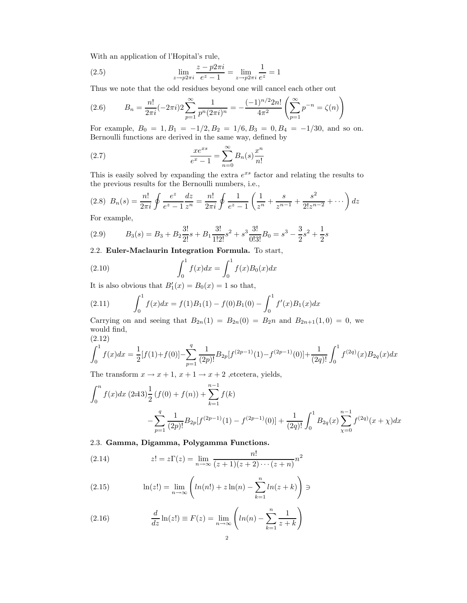With an application of l'Hopital's rule,

(2.5) 
$$
\lim_{z \to p2\pi i} \frac{z - p2\pi i}{e^z - 1} = \lim_{z \to p2\pi i} \frac{1}{e^z} = 1
$$

Thus we note that the odd residues beyond one will cancel each other out

(2.6) 
$$
B_n = \frac{n!}{2\pi i} (-2\pi i) 2 \sum_{p=1}^{\infty} \frac{1}{p^n (2\pi i)^n} = -\frac{(-1)^{n/2} 2n!}{4\pi^2} \left( \sum_{p=1}^{\infty} p^{-n} = \zeta(n) \right)
$$

For example,  $B_0 = 1, B_1 = -1/2, B_2 = 1/6, B_3 = 0, B_4 = -1/30$ , and so on. Bernoulli functions are derived in the same way, defined by

(2.7) 
$$
\frac{xe^{xs}}{e^x - 1} = \sum_{n=0}^{\infty} B_n(s) \frac{x^n}{n!}
$$

This is easily solved by expanding the extra  $e^{xs}$  factor and relating the results to the previous results for the Bernoulli numbers, i.e.,

$$
(2.8)\ \ B_n(s) = \frac{n!}{2\pi i} \oint \frac{e^z}{e^z - 1} \frac{dz}{z^n} = \frac{n!}{2\pi i} \oint \frac{1}{e^z - 1} \left( \frac{1}{z^n} + \frac{s}{z^{n-1}} + \frac{s^2}{2!z^{n-2}} + \cdots \right) dz
$$

For example,

(2.9) 
$$
B_3(s) = B_3 + B_2 \frac{3!}{2!} s + B_1 \frac{3!}{1!2!} s^2 + s^3 \frac{3!}{0!3!} B_0 = s^3 - \frac{3}{2} s^2 + \frac{1}{2} s
$$

2.2. Euler-Maclaurin Integration Formula. To start,

(2.10) 
$$
\int_0^1 f(x)dx = \int_0^1 f(x)B_0(x)dx
$$

It is also obvious that  $B'_1(x) = B_0(x) = 1$  so that,

(2.11) 
$$
\int_0^1 f(x)dx = f(1)B_1(1) - f(0)B_1(0) - \int_0^1 f'(x)B_1(x)dx
$$

Carrying on and seeing that  $B_{2n}(1) = B_{2n}(0) = B_2n$  and  $B_{2n+1}(1,0) = 0$ , we would find, (2.12)

$$
\int_0^1 f(x)dx = \frac{1}{2}[f(1) + f(0)] - \sum_{p=1}^q \frac{1}{(2p)!}B_{2p}[f^{(2p-1)}(1) - f^{(2p-1)}(0)] + \frac{1}{(2q)!} \int_0^1 f^{(2q)}(x)B_{2q}(x)dx
$$

The transform  $x \to x + 1$ ,  $x + 1 \to x + 2$ , etcetera, yields,

$$
\int_0^n f(x)dx \ (2\pm 3)\frac{1}{2}(f(0) + f(n)) + \sum_{k=1}^{n-1} f(k)
$$
  

$$
-\sum_{p=1}^q \frac{1}{(2p)!}B_{2p}[f^{(2p-1)}(1) - f^{(2p-1)}(0)] + \frac{1}{(2q)!}\int_0^1 B_{2q}(x)\sum_{\chi=0}^{n-1} f^{(2q)}(x+\chi)dx
$$

2.3. Gamma, Digamma, Polygamma Functions.

(2.14) 
$$
z! = z\Gamma(z) = \lim_{n \to \infty} \frac{n!}{(z+1)(z+2)\cdots(z+n)}n^2
$$

(2.15) 
$$
\ln(z!) = \lim_{n \to \infty} \left( \ln(n!) + z \ln(n) - \sum_{k=1}^{n} \ln(z+k) \right) \ni
$$

(2.16) 
$$
\frac{d}{dz}\ln(z!) \equiv F(z) = \lim_{n \to \infty} \left( \ln(n) - \sum_{k=1}^{n} \frac{1}{z+k} \right)
$$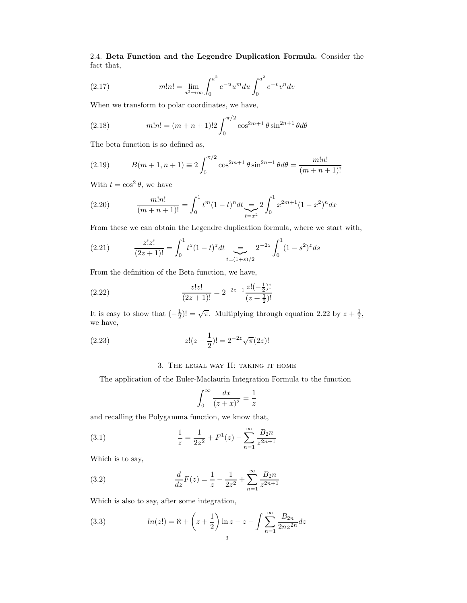2.4. Beta Function and the Legendre Duplication Formula. Consider the fact that,

(2.17) 
$$
m!n! = \lim_{a^2 \to \infty} \int_0^{a^2} e^{-u} u^m du \int_0^{a^2} e^{-v} v^n dv
$$

When we transform to polar coordinates, we have,

(2.18) 
$$
m!n! = (m+n+1)!2 \int_0^{\pi/2} \cos^{2m+1} \theta \sin^{2n+1} \theta d\theta
$$

The beta function is so defined as,

(2.19) 
$$
B(m+1, n+1) \equiv 2 \int_0^{\pi/2} \cos^{2m+1} \theta \sin^{2n+1} \theta d\theta = \frac{m!n!}{(m+n+1)!}
$$

With  $t = \cos^2 \theta$ , we have

(2.20) 
$$
\frac{m!n!}{(m+n+1)!} = \int_0^1 t^m (1-t)^n dt \sum_{t=x^2}^{\infty} 2 \int_0^1 x^{2m+1} (1-x^2)^n dx
$$

From these we can obtain the Legendre duplication formula, where we start with,

(2.21) 
$$
\frac{z!z!}{(2z+1)!} = \int_0^1 t^z (1-t)^z dt \sum_{t=(1+s)/2} 2^{-2z} \int_0^1 (1-s^2)^z ds
$$

From the definition of the Beta function, we have,

(2.22) 
$$
\frac{z!z!}{(2z+1)!} = 2^{-2z-1} \frac{z!(-\frac{1}{2})!}{(z+\frac{1}{2})!}
$$

It is easy to show that  $\left(-\frac{1}{2}\right)! = \sqrt{\pi}$ . Multiplying through equation 2.22 by  $z + \frac{1}{2}$ , we have,

(2.23) 
$$
z!(z-\frac{1}{2})! = 2^{-2z}\sqrt{\pi}(2z)!
$$

## 3. The legal way II: taking it home

The application of the Euler-Maclaurin Integration Formula to the function

$$
\int_0^\infty \frac{dx}{(z+x)^2} = \frac{1}{z}
$$

and recalling the Polygamma function, we know that,

(3.1) 
$$
\frac{1}{z} = \frac{1}{2z^2} + F^1(z) - \sum_{n=1}^{\infty} \frac{B_2 n}{z^{2n+1}}
$$

Which is to say,

(3.2) 
$$
\frac{d}{dz}F(z) = \frac{1}{z} - \frac{1}{2z^2} + \sum_{n=1}^{\infty} \frac{B_2 n}{z^{2n+1}}
$$

Which is also to say, after some integration,

(3.3) 
$$
ln(z!) = \aleph + \left(z + \frac{1}{2}\right) \ln z - z - \int \sum_{n=1}^{\infty} \frac{B_{2n}}{2nz^{2n}} dz
$$